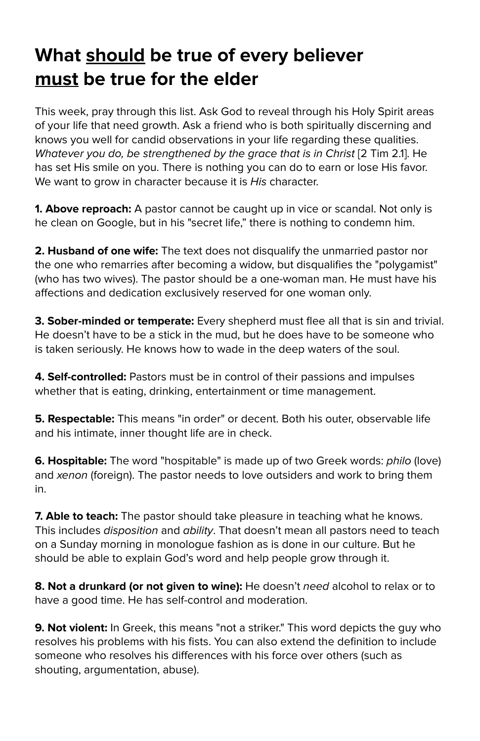## **What should be true of every believer must be true for the elder**

This week, pray through this list. Ask God to reveal through his Holy Spirit areas of your life that need growth. Ask a friend who is both spiritually discerning and knows you well for candid observations in your life regarding these qualities. Whatever you do, be strengthened by the grace that is in Christ [2 Tim 2.1]. He has set His smile on you. There is nothing you can do to earn or lose His favor. We want to grow in character because it is His character.

**1. Above reproach:** A pastor cannot be caught up in vice or scandal. Not only is he clean on Google, but in his "secret life," there is nothing to condemn him.

**2. Husband of one wife:** The text does not disqualify the unmarried pastor nor the one who remarries after becoming a widow, but disqualifies the "polygamist" (who has two wives). The pastor should be a one-woman man. He must have his affections and dedication exclusively reserved for one woman only.

**3. Sober-minded or temperate:** Every shepherd must flee all that is sin and trivial. He doesn't have to be a stick in the mud, but he does have to be someone who is taken seriously. He knows how to wade in the deep waters of the soul.

**4. Self-controlled:** Pastors must be in control of their passions and impulses whether that is eating, drinking, entertainment or time management.

**5. Respectable:** This means "in order" or decent. Both his outer, observable life and his intimate, inner thought life are in check.

**6. Hospitable:** The word "hospitable" is made up of two Greek words: philo (love) and xenon (foreign). The pastor needs to love outsiders and work to bring them in.

**7. Able to teach:** The pastor should take pleasure in teaching what he knows. This includes *disposition* and *ability*. That doesn't mean all pastors need to teach on a Sunday morning in monologue fashion as is done in our culture. But he should be able to explain God's word and help people grow through it.

**8. Not a drunkard (or not given to wine):** He doesn't need alcohol to relax or to have a good time. He has self-control and moderation.

**9. Not violent:** In Greek, this means "not a striker." This word depicts the guy who resolves his problems with his fists. You can also extend the definition to include someone who resolves his differences with his force over others (such as shouting, argumentation, abuse).